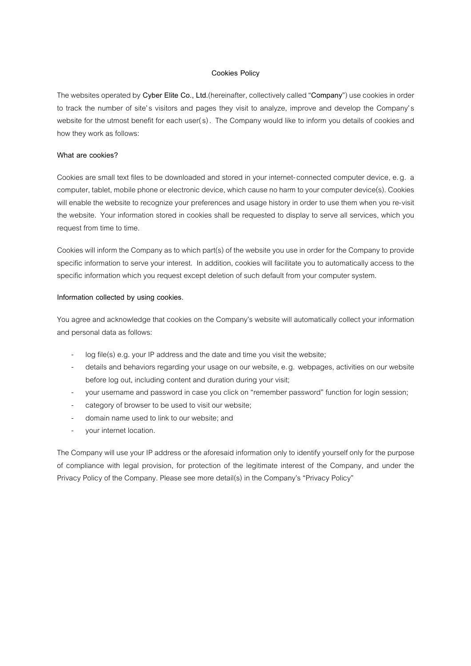### **Cookies Policy**

The websites operated by **Cyber Elite Co., Ltd.**(hereinafter, collectively called "**Company**") use cookies in order to track the number of site's visitors and pages they visit to analyze, improve and develop the Company's website for the utmost benefit for each user(s). The Company would like to inform you details of cookies and how they work as follows:

#### **What are cookies?**

Cookies are small text files to be downloaded and stored in your internet-connected computer device, e.g. a computer, tablet, mobile phone or electronic device, which cause no harm to your computer device(s). Cookies will enable the website to recognize your preferences and usage history in order to use them when you re-visit the website. Your information stored in cookies shall be requested to display to serve all services, which you request from time to time.

Cookies will inform the Company as to which part(s) of the website you use in order for the Company to provide specific information to serve your interest. In addition, cookies will facilitate you to automatically access to the specific information which you request except deletion of such default from your computer system.

### **Information collected by using cookies.**

You agree and acknowledge that cookies on the Company's website will automatically collect your information and personal data as follows:

- log file(s) e.g. your IP address and the date and time you visit the website;
- details and behaviors regarding your usage on our website, e.g. webpages, activities on our website before log out, including content and duration during your visit;
- your username and password in case you click on "remember password" function for login session;
- category of browser to be used to visit our website;
- domain name used to link to our website; and
- your internet location.

The Company will use your IP address or the aforesaid information only to identify yourself only for the purpose of compliance with legal provision, for protection of the legitimate interest of the Company, and under the Privacy Policy of the Company. Please see more detail(s) in the Company's "Privacy Policy"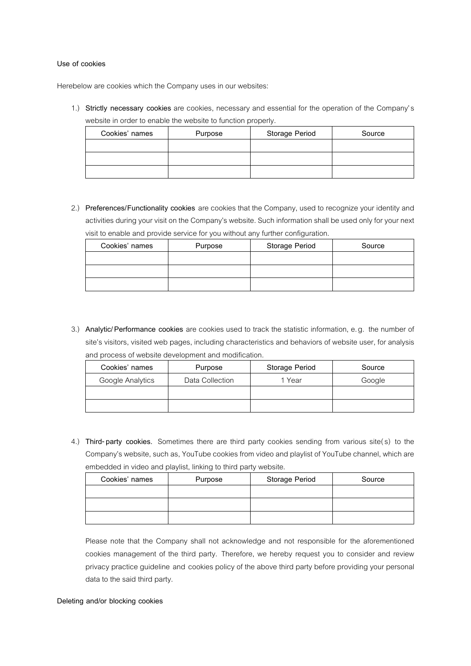### **Use of cookies**

Herebelow are cookies which the Company uses in our websites:

1.) **Strictly necessary cookies** are cookies, necessary and essential for the operation of the Company's website in order to enable the website to function properly.

| Cookies' names | Purpose | Storage Period | Source |
|----------------|---------|----------------|--------|
|                |         |                |        |
|                |         |                |        |
|                |         |                |        |

2.) **Preferences/Functionality cookies** are cookies that the Company, used to recognize your identity and activities during your visit on the Company's website. Such information shall be used only for your next visit to enable and provide service for you without any further configuration.

|                |         | $\tilde{\phantom{a}}$ |        |
|----------------|---------|-----------------------|--------|
| Cookies' names | Purpose | <b>Storage Period</b> | Source |
|                |         |                       |        |
|                |         |                       |        |
|                |         |                       |        |

3.) **Analytic/ Performance cookies** are cookies used to track the statistic information, e.g. the number of site's visitors, visited web pages, including characteristics and behaviors of website user, for analysis and process of website development and modification.

| Cookies' names   | Purpose         | Storage Period | Source |
|------------------|-----------------|----------------|--------|
| Google Analytics | Data Collection | 1 Year         | Google |
|                  |                 |                |        |
|                  |                 |                |        |

4.) **Third-party cookies.** Sometimes there are third party cookies sending from various site(s) to the Company's website, such as, YouTube cookies from video and playlist of YouTube channel, which are embedded in video and playlist, linking to third party website.

| Cookies' names | Purpose | <b>Storage Period</b> | Source |
|----------------|---------|-----------------------|--------|
|                |         |                       |        |
|                |         |                       |        |
|                |         |                       |        |

Please note that the Company shall not acknowledge and not responsible for the aforementioned cookies management of the third party. Therefore, we hereby request you to consider and review privacy practice guideline and cookies policy of the above third party before providing your personal data to the said third party.

### **Deleting and/or blocking cookies**